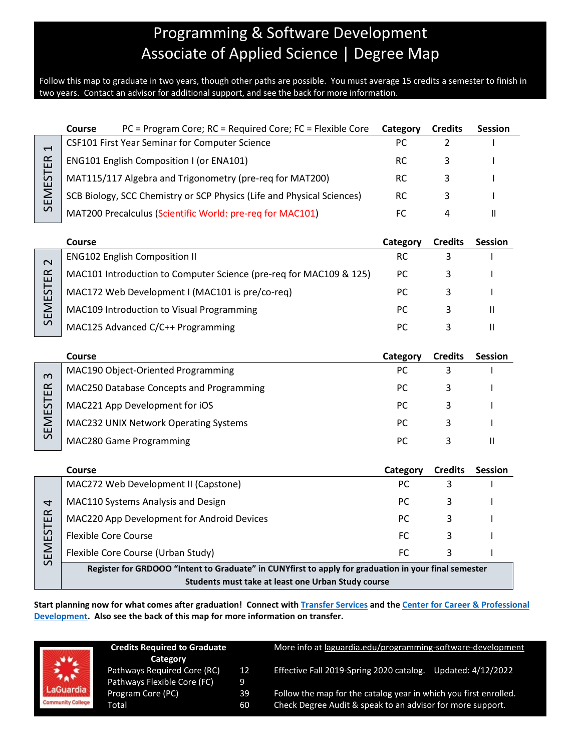# Programming & Software Development Associate of Applied Science | Degree Map

Follow this map to graduate in two years, though other paths are possible. You must average 15 credits a semester to finish in two years. Contact an advisor for additional support, and see the back for more information.

|                                             | <b>Course</b>                                                                                        | PC = Program Core; RC = Required Core; FC = Flexible Core              | Category  | <b>Credits</b> | <b>Session</b> |
|---------------------------------------------|------------------------------------------------------------------------------------------------------|------------------------------------------------------------------------|-----------|----------------|----------------|
| $\overline{\phantom{0}}$<br><b>SEMESTER</b> | CSF101 First Year Seminar for Computer Science                                                       |                                                                        | PC        | 2              |                |
|                                             |                                                                                                      | <b>ENG101 English Composition I (or ENA101)</b>                        | <b>RC</b> | 3              |                |
|                                             |                                                                                                      | MAT115/117 Algebra and Trigonometry (pre-req for MAT200)               | <b>RC</b> | 3              |                |
|                                             |                                                                                                      | SCB Biology, SCC Chemistry or SCP Physics (Life and Physical Sciences) | <b>RC</b> | 3              |                |
|                                             | MAT200 Precalculus (Scientific World: pre-req for MAC101)                                            |                                                                        | <b>FC</b> | 4              | $\mathbf{H}$   |
|                                             |                                                                                                      |                                                                        |           |                |                |
|                                             | <b>Course</b>                                                                                        |                                                                        | Category  | <b>Credits</b> | <b>Session</b> |
| $\sim$<br><b>SEMESTER</b>                   |                                                                                                      | <b>ENG102 English Composition II</b>                                   | <b>RC</b> | 3              |                |
|                                             |                                                                                                      | MAC101 Introduction to Computer Science (pre-req for MAC109 & 125)     | PC        | 3              |                |
|                                             |                                                                                                      | MAC172 Web Development I (MAC101 is pre/co-req)                        | РC        | 3              |                |
|                                             |                                                                                                      | MAC109 Introduction to Visual Programming                              | PC        | 3              | Ш              |
|                                             |                                                                                                      | MAC125 Advanced C/C++ Programming                                      | PC        | 3              | $\mathbf{  }$  |
|                                             |                                                                                                      |                                                                        |           |                |                |
|                                             | <b>Course</b>                                                                                        |                                                                        | Category  | <b>Credits</b> | Session        |
| $\omega$<br><b>SEMESTER</b>                 |                                                                                                      | MAC190 Object-Oriented Programming                                     | PC        | 3              |                |
|                                             |                                                                                                      | MAC250 Database Concepts and Programming                               | РC        | 3              |                |
|                                             |                                                                                                      | MAC221 App Development for iOS                                         | PC        | 3              |                |
|                                             |                                                                                                      | MAC232 UNIX Network Operating Systems                                  | PC        | 3              |                |
|                                             |                                                                                                      | MAC280 Game Programming                                                | PC        | 3              | $\mathbf{H}$   |
|                                             |                                                                                                      |                                                                        |           |                |                |
|                                             | <b>Course</b>                                                                                        |                                                                        | Category  | <b>Credits</b> | <b>Session</b> |
| 4<br>SEMESTER                               |                                                                                                      | MAC272 Web Development II (Capstone)                                   | PC        | 3              |                |
|                                             |                                                                                                      | MAC110 Systems Analysis and Design                                     | PC.       | 3              |                |
|                                             |                                                                                                      | MAC220 App Development for Android Devices                             | PC.       | 3              |                |
|                                             | <b>Flexible Core Course</b>                                                                          |                                                                        | FC        | 3              |                |
|                                             |                                                                                                      | Flexible Core Course (Urban Study)                                     | <b>FC</b> | 3              |                |
|                                             | Register for GRDOOO "Intent to Graduate" in CUNYfirst to apply for graduation in your final semester |                                                                        |           |                |                |
|                                             | Students must take at least one Urban Study course                                                   |                                                                        |           |                |                |

**Start planning now for what comes after graduation! Connect with [Transfer Services](https://www.laguardia.edu/transferservices/) and the [Center for Career & Professional](https://www.laguardia.edu/careerservices/)  [Development.](https://www.laguardia.edu/careerservices/) Also see the back of this map for more information on transfer.**

**Credits Required to Graduate** More info at [laguardia.edu/programming-software-development](https://cuny907-my.sharepoint.com/personal/joshua_goldblatt12_login_cuny_edu/Documents/Degree%20Maps%20&%20Curriculum/MEC/Computer/laguardia.edu/programming-software-development) **Category** Pathways Required Core (RC) 12 Effective Fall 2019-Spring 2020 catalog. Updated: 4/12/2022 Pathways Flexible Core (FC) 9 Guardia Program Core (PC) 39 Follow the map for the catalog year in which you first enrolled. munity College Total 60 Check Degree Audit & speak to an advisor for more support.